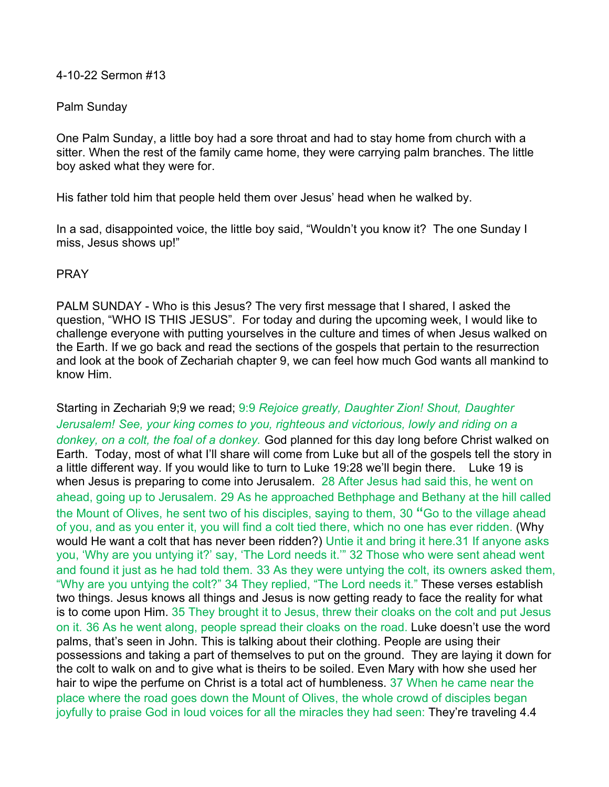## 4-10-22 Sermon #13

## Palm Sunday

One Palm Sunday, a little boy had a sore throat and had to stay home from church with a sitter. When the rest of the family came home, they were carrying palm branches. The little boy asked what they were for.

His father told him that people held them over Jesus' head when he walked by.

In a sad, disappointed voice, the little boy said, "Wouldn't you know it? The one Sunday I miss, Jesus shows up!"

## PRAY

PALM SUNDAY - Who is this Jesus? The very first message that I shared, I asked the question, "WHO IS THIS JESUS". For today and during the upcoming week, I would like to challenge everyone with putting yourselves in the culture and times of when Jesus walked on the Earth. If we go back and read the sections of the gospels that pertain to the resurrection and look at the book of Zechariah chapter 9, we can feel how much God wants all mankind to know Him.

Starting in Zechariah 9;9 we read; 9:9 *Rejoice greatly, Daughter Zion! Shout, Daughter Jerusalem! See, your king comes to you, righteous and victorious, lowly and riding on a donkey, on a colt, the foal of a donkey.* God planned for this day long before Christ walked on Earth. Today, most of what I'll share will come from Luke but all of the gospels tell the story in a little different way. If you would like to turn to Luke 19:28 we'll begin there. Luke 19 is when Jesus is preparing to come into Jerusalem. 28 After Jesus had said this, he went on ahead, going up to Jerusalem. 29 As he approached Bethphage and Bethany at the hill called the Mount of Olives, he sent two of his disciples, saying to them, 30 **"**Go to the village ahead of you, and as you enter it, you will find a colt tied there, which no one has ever ridden. (Why would He want a colt that has never been ridden?) Untie it and bring it here.31 If anyone asks you, 'Why are you untying it?' say, 'The Lord needs it.'" 32 Those who were sent ahead went and found it just as he had told them. 33 As they were untying the colt, its owners asked them, "Why are you untying the colt?" 34 They replied, "The Lord needs it." These verses establish two things. Jesus knows all things and Jesus is now getting ready to face the reality for what is to come upon Him. 35 They brought it to Jesus, threw their cloaks on the colt and put Jesus on it. 36 As he went along, people spread their cloaks on the road. Luke doesn't use the word palms, that's seen in John. This is talking about their clothing. People are using their possessions and taking a part of themselves to put on the ground. They are laying it down for the colt to walk on and to give what is theirs to be soiled. Even Mary with how she used her hair to wipe the perfume on Christ is a total act of humbleness. 37 When he came near the place where the road goes down the Mount of Olives, the whole crowd of disciples began joyfully to praise God in loud voices for all the miracles they had seen: They're traveling 4.4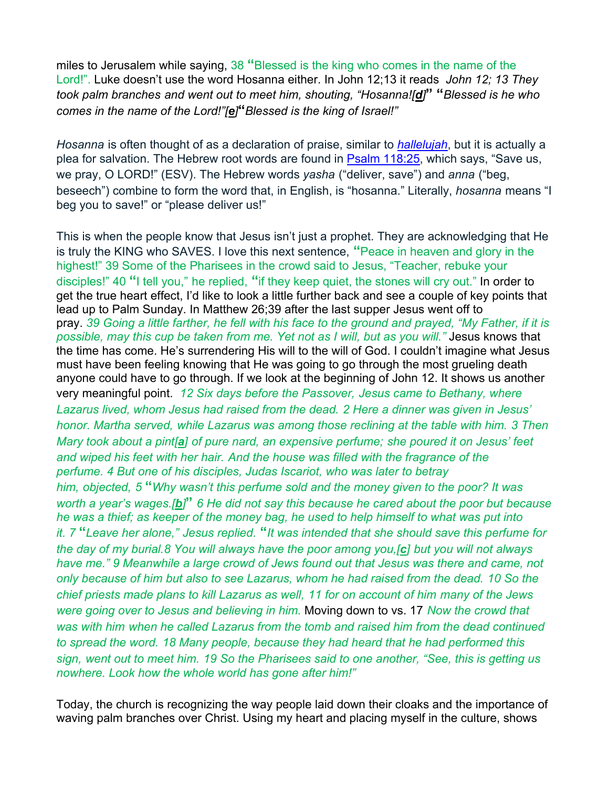miles to Jerusalem while saying, 38 **"**Blessed is the king who comes in the name of the Lord!". Luke doesn't use the word Hosanna either. In John 12;13 it reads *John 12; 13 They took palm branches and went out to meet him, shouting, "Hosanna![[d](https://www.biblegateway.com/passage/?search=John+12&version=NIV#fen-NIV-26594d)]***" "***Blessed is he who comes in the name of the Lord!"[[e](https://www.biblegateway.com/passage/?search=John+12&version=NIV#fen-NIV-26594e)]***"***Blessed is the king of Israel!"*

*Hosanna* is often thought of as a declaration of praise, similar to *[hallelujah](https://www.gotquestions.org/hallelujah.html)*, but it is actually a plea for salvation. The Hebrew root words are found in [Psalm 118:25](https://biblia.com/bible/esv/Ps%20118.25), which says, "Save us, we pray, O LORD!" (ESV). The Hebrew words *yasha* ("deliver, save") and *anna* ("beg, beseech") combine to form the word that, in English, is "hosanna." Literally, *hosanna* means "I beg you to save!" or "please deliver us!"

This is when the people know that Jesus isn't just a prophet. They are acknowledging that He is truly the KING who SAVES. I love this next sentence, **"**Peace in heaven and glory in the highest!" 39 Some of the Pharisees in the crowd said to Jesus, "Teacher, rebuke your disciples!" 40 **"**I tell you," he replied, **"**if they keep quiet, the stones will cry out." In order to get the true heart effect, I'd like to look a little further back and see a couple of key points that lead up to Palm Sunday. In Matthew 26;39 after the last supper Jesus went off to pray. *39 Going a little farther, he fell with his face to the ground and prayed, "My Father, if it is possible, may this cup be taken from me. Yet not as I will, but as you will."* Jesus knows that the time has come. He's surrendering His will to the will of God. I couldn't imagine what Jesus must have been feeling knowing that He was going to go through the most grueling death anyone could have to go through. If we look at the beginning of John 12. It shows us another very meaningful point. *12 Six days before the Passover, Jesus came to Bethany, where Lazarus lived, whom Jesus had raised from the dead. 2 Here a dinner was given in Jesus' honor. Martha served, while Lazarus was among those reclining at the table with him. 3 Then Mary took about a pint[[a](https://www.biblegateway.com/passage/?search=John+12&version=NIV#fen-NIV-26584a)] of pure nard, an expensive perfume; she poured it on Jesus' feet and wiped his feet with her hair. And the house was filled with the fragrance of the perfume. 4 But one of his disciples, Judas Iscariot, who was later to betray him, objected, 5* **"***Why wasn't this perfume sold and the money given to the poor? It was worth a year's wages.[[b](https://www.biblegateway.com/passage/?search=John+12&version=NIV#fen-NIV-26586b)]***"** *6 He did not say this because he cared about the poor but because he was a thief; as keeper of the money bag, he used to help himself to what was put into it. 7* **"***Leave her alone," Jesus replied.* **"***It was intended that she should save this perfume for the day of my burial.8 You will always have the poor among you,[[c](https://www.biblegateway.com/passage/?search=John+12&version=NIV#fen-NIV-26589c)] but you will not always have me." 9 Meanwhile a large crowd of Jews found out that Jesus was there and came, not only because of him but also to see Lazarus, whom he had raised from the dead. 10 So the chief priests made plans to kill Lazarus as well, 11 for on account of him many of the Jews were going over to Jesus and believing in him.* Moving down to vs. 17 *Now the crowd that was with him when he called Lazarus from the tomb and raised him from the dead continued to spread the word. 18 Many people, because they had heard that he had performed this sign, went out to meet him. 19 So the Pharisees said to one another, "See, this is getting us nowhere. Look how the whole world has gone after him!"*

Today, the church is recognizing the way people laid down their cloaks and the importance of waving palm branches over Christ. Using my heart and placing myself in the culture, shows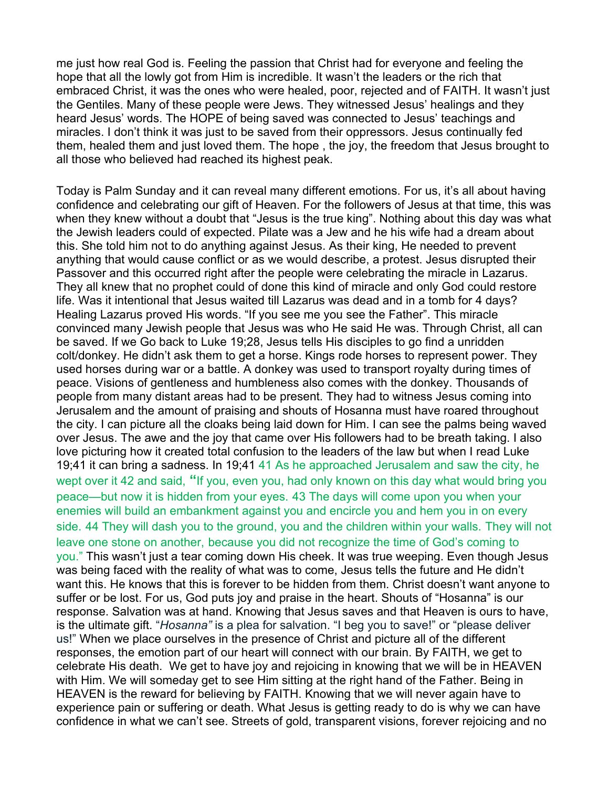me just how real God is. Feeling the passion that Christ had for everyone and feeling the hope that all the lowly got from Him is incredible. It wasn't the leaders or the rich that embraced Christ, it was the ones who were healed, poor, rejected and of FAITH. It wasn't just the Gentiles. Many of these people were Jews. They witnessed Jesus' healings and they heard Jesus' words. The HOPE of being saved was connected to Jesus' teachings and miracles. I don't think it was just to be saved from their oppressors. Jesus continually fed them, healed them and just loved them. The hope , the joy, the freedom that Jesus brought to all those who believed had reached its highest peak.

Today is Palm Sunday and it can reveal many different emotions. For us, it's all about having confidence and celebrating our gift of Heaven. For the followers of Jesus at that time, this was when they knew without a doubt that "Jesus is the true king". Nothing about this day was what the Jewish leaders could of expected. Pilate was a Jew and he his wife had a dream about this. She told him not to do anything against Jesus. As their king, He needed to prevent anything that would cause conflict or as we would describe, a protest. Jesus disrupted their Passover and this occurred right after the people were celebrating the miracle in Lazarus. They all knew that no prophet could of done this kind of miracle and only God could restore life. Was it intentional that Jesus waited till Lazarus was dead and in a tomb for 4 days? Healing Lazarus proved His words. "If you see me you see the Father". This miracle convinced many Jewish people that Jesus was who He said He was. Through Christ, all can be saved. If we Go back to Luke 19;28, Jesus tells His disciples to go find a unridden colt/donkey. He didn't ask them to get a horse. Kings rode horses to represent power. They used horses during war or a battle. A donkey was used to transport royalty during times of peace. Visions of gentleness and humbleness also comes with the donkey. Thousands of people from many distant areas had to be present. They had to witness Jesus coming into Jerusalem and the amount of praising and shouts of Hosanna must have roared throughout the city. I can picture all the cloaks being laid down for Him. I can see the palms being waved over Jesus. The awe and the joy that came over His followers had to be breath taking. I also love picturing how it created total confusion to the leaders of the law but when I read Luke 19;41 it can bring a sadness. In 19;41 41 As he approached Jerusalem and saw the city, he wept over it 42 and said, **"**If you, even you, had only known on this day what would bring you peace—but now it is hidden from your eyes. 43 The days will come upon you when your enemies will build an embankment against you and encircle you and hem you in on every side. 44 They will dash you to the ground, you and the children within your walls. They will not leave one stone on another, because you did not recognize the time of God's coming to you." This wasn't just a tear coming down His cheek. It was true weeping. Even though Jesus was being faced with the reality of what was to come, Jesus tells the future and He didn't want this. He knows that this is forever to be hidden from them. Christ doesn't want anyone to suffer or be lost. For us, God puts joy and praise in the heart. Shouts of "Hosanna" is our response. Salvation was at hand. Knowing that Jesus saves and that Heaven is ours to have, is the ultimate gift. "*Hosanna"* is a plea for salvation. "I beg you to save!" or "please deliver us!" When we place ourselves in the presence of Christ and picture all of the different responses, the emotion part of our heart will connect with our brain. By FAITH, we get to celebrate His death. We get to have joy and rejoicing in knowing that we will be in HEAVEN with Him. We will someday get to see Him sitting at the right hand of the Father. Being in HEAVEN is the reward for believing by FAITH. Knowing that we will never again have to experience pain or suffering or death. What Jesus is getting ready to do is why we can have confidence in what we can't see. Streets of gold, transparent visions, forever rejoicing and no